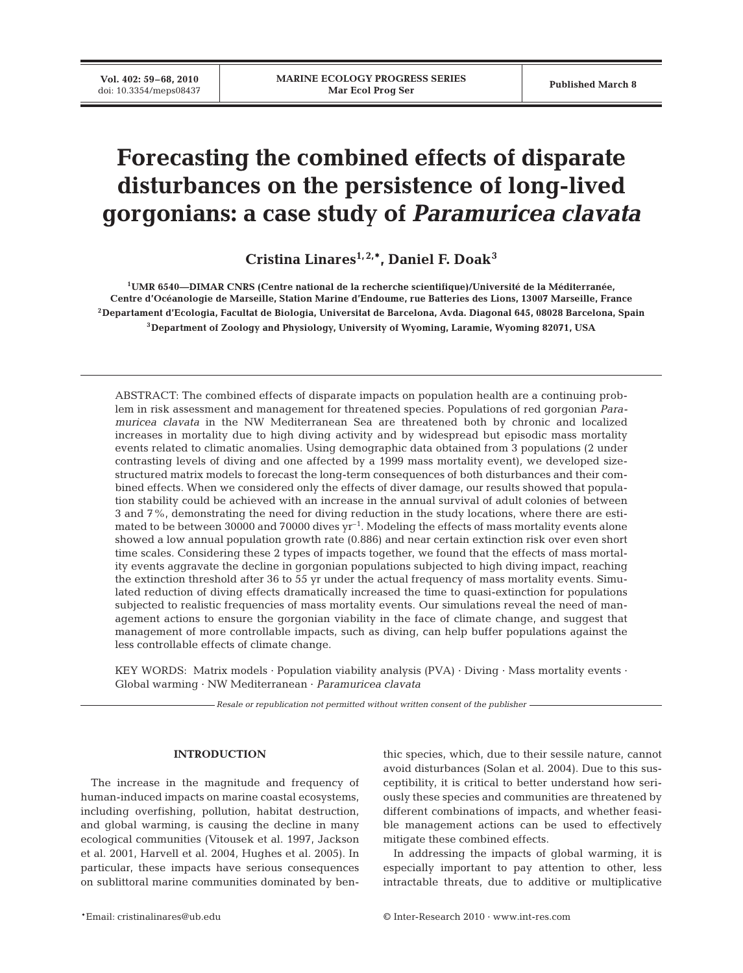# **Forecasting the combined effects of disparate disturbances on the persistence of long-lived gorgonians: a case study of** *Paramuricea clavata*

**Cristina Linares1, 2,\*, Daniel F. Doak3**

**1UMR 6540—DIMAR CNRS (Centre national de la recherche scientifique)/Université de la Méditerranée, Centre d'Océanologie de Marseille, Station Marine d'Endoume, rue Batteries des Lions, 13007 Marseille, France 2Departament d'Ecologia, Facultat de Biologia, Universitat de Barcelona, Avda. Diagonal 645, 08028 Barcelona, Spain 3Department of Zoology and Physiology, University of Wyoming, Laramie, Wyoming 82071, USA**

ABSTRACT: The combined effects of disparate impacts on population health are a continuing problem in risk assessment and management for threatened species. Populations of red gorgonian *Paramuricea clavata* in the NW Mediterranean Sea are threatened both by chronic and localized increases in mortality due to high diving activity and by widespread but episodic mass mortality events related to climatic anomalies. Using demographic data obtained from 3 populations (2 under contrasting levels of diving and one affected by a 1999 mass mortality event), we developed sizestructured matrix models to forecast the long-term consequences of both disturbances and their combined effects. When we considered only the effects of diver damage, our results showed that population stability could be achieved with an increase in the annual survival of adult colonies of between 3 and 7%, demonstrating the need for diving reduction in the study locations, where there are estimated to be between 30000 and 70000 dives  $yr^{-1}$ . Modeling the effects of mass mortality events alone showed a low annual population growth rate (0.886) and near certain extinction risk over even short time scales. Considering these 2 types of impacts together, we found that the effects of mass mortality events aggravate the decline in gorgonian populations subjected to high diving impact, reaching the extinction threshold after 36 to 55 yr under the actual frequency of mass mortality events. Simulated reduction of diving effects dramatically increased the time to quasi-extinction for populations subjected to realistic frequencies of mass mortality events. Our simulations reveal the need of management actions to ensure the gorgonian viability in the face of climate change, and suggest that management of more controllable impacts, such as diving, can help buffer populations against the less controllable effects of climate change.

KEY WORDS: Matrix models · Population viability analysis (PVA) · Diving · Mass mortality events · Global warming · NW Mediterranean · *Paramuricea clavata*

*Resale or republication not permitted without written consent of the publisher*

#### **INTRODUCTION**

The increase in the magnitude and frequency of human-induced impacts on marine coastal ecosystems, including overfishing, pollution, habitat destruction, and global warming, is causing the decline in many ecological communities (Vitousek et al. 1997, Jackson et al. 2001, Harvell et al. 2004, Hughes et al. 2005). In particular, these impacts have serious consequences on sublittoral marine communities dominated by benthic species, which, due to their sessile nature, cannot avoid disturbances (Solan et al. 2004). Due to this susceptibility, it is critical to better understand how seriously these species and communities are threatened by different combinations of impacts, and whether feasible management actions can be used to effectively mitigate these combined effects.

In addressing the impacts of global warming, it is especially important to pay attention to other, less intractable threats, due to additive or multiplicative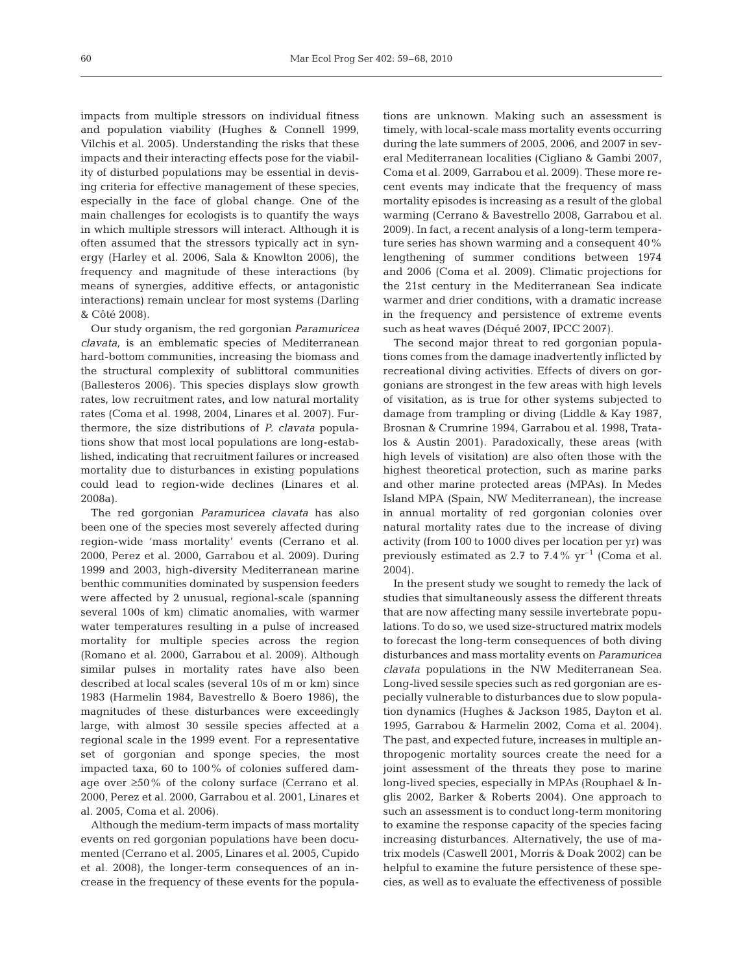impacts from multiple stressors on individual fitness and population viability (Hughes & Connell 1999, Vilchis et al. 2005). Understanding the risks that these impacts and their interacting effects pose for the viability of disturbed populations may be essential in devising criteria for effective management of these species, especially in the face of global change. One of the main challenges for ecologists is to quantify the ways in which multiple stressors will interact. Although it is often assumed that the stressors typically act in synergy (Harley et al. 2006, Sala & Knowlton 2006), the frequency and magnitude of these interactions (by means of synergies, additive effects, or antagonistic interactions) remain unclear for most systems (Darling & Côté 2008).

Our study organism, the red gorgonian *Paramuricea clavata,* is an emblematic species of Mediterranean hard-bottom communities, increasing the biomass and the structural complexity of sublittoral communities (Ballesteros 2006). This species displays slow growth rates, low recruitment rates, and low natural mortality rates (Coma et al. 1998, 2004, Linares et al. 2007). Furthermore, the size distributions of *P. clavata* populations show that most local populations are long-established, indicating that recruitment failures or increased mortality due to disturbances in existing populations could lead to region-wide declines (Linares et al. 2008a).

The red gorgonian *Paramuricea clavata* has also been one of the species most severely affected during region-wide 'mass mortality' events (Cerrano et al. 2000, Perez et al. 2000, Garrabou et al. 2009). During 1999 and 2003, high-diversity Mediterranean marine benthic communities dominated by suspension feeders were affected by 2 unusual, regional-scale (spanning several 100s of km) climatic anomalies, with warmer water temperatures resulting in a pulse of increased mortality for multiple species across the region (Romano et al. 2000, Garrabou et al. 2009). Although similar pulses in mortality rates have also been described at local scales (several 10s of m or km) since 1983 (Harmelin 1984, Bavestrello & Boero 1986), the magnitudes of these disturbances were exceedingly large, with almost 30 sessile species affected at a regional scale in the 1999 event. For a representative set of gorgonian and sponge species, the most impacted taxa, 60 to 100% of colonies suffered damage over ≥50% of the colony surface (Cerrano et al. 2000, Perez et al. 2000, Garrabou et al. 2001, Linares et al. 2005, Coma et al. 2006).

Although the medium-term impacts of mass mortality events on red gorgonian populations have been documented (Cerrano et al. 2005, Linares et al. 2005, Cupido et al. 2008), the longer-term consequences of an increase in the frequency of these events for the populations are unknown. Making such an assessment is timely, with local-scale mass mortality events occurring during the late summers of 2005, 2006, and 2007 in several Mediterranean localities (Cigliano & Gambi 2007, Coma et al. 2009, Garrabou et al. 2009). These more recent events may indicate that the frequency of mass mortality episodes is increasing as a result of the global warming (Cerrano & Bavestrello 2008, Garrabou et al. 2009). In fact, a recent analysis of a long-term temperature series has shown warming and a consequent 40% lengthening of summer conditions between 1974 and 2006 (Coma et al. 2009). Climatic projections for the 21st century in the Mediterranean Sea indicate warmer and drier conditions, with a dramatic increase in the frequency and persistence of extreme events such as heat waves (Déqué 2007, IPCC 2007).

The second major threat to red gorgonian populations comes from the damage inadvertently inflicted by recreational diving activities. Effects of divers on gorgonians are strongest in the few areas with high levels of visitation, as is true for other systems subjected to damage from trampling or diving (Liddle & Kay 1987, Brosnan & Crumrine 1994, Garrabou et al. 1998, Tratalos & Austin 2001). Paradoxically, these areas (with high levels of visitation) are also often those with the highest theoretical protection, such as marine parks and other marine protected areas (MPAs). In Medes Island MPA (Spain, NW Mediterranean), the increase in annual mortality of red gorgonian colonies over natural mortality rates due to the increase of diving activity (from 100 to 1000 dives per location per yr) was previously estimated as 2.7 to 7.4%  $\gamma$ r<sup>-1</sup> (Coma et al. 2004).

In the present study we sought to remedy the lack of studies that simultaneously assess the different threats that are now affecting many sessile invertebrate populations. To do so, we used size-structured matrix models to forecast the long-term consequences of both diving disturbances and mass mortality events on *Paramuricea clavata* populations in the NW Mediterranean Sea. Long-lived sessile species such as red gorgonian are especially vulnerable to disturbances due to slow population dynamics (Hughes & Jackson 1985, Dayton et al. 1995, Garrabou & Harmelin 2002, Coma et al. 2004). The past, and expected future, increases in multiple anthropogenic mortality sources create the need for a joint assessment of the threats they pose to marine long-lived species, especially in MPAs (Rouphael & Inglis 2002, Barker & Roberts 2004). One approach to such an assessment is to conduct long-term monitoring to examine the response capacity of the species facing increasing disturbances. Alternatively, the use of matrix models (Caswell 2001, Morris & Doak 2002) can be helpful to examine the future persistence of these species, as well as to evaluate the effectiveness of possible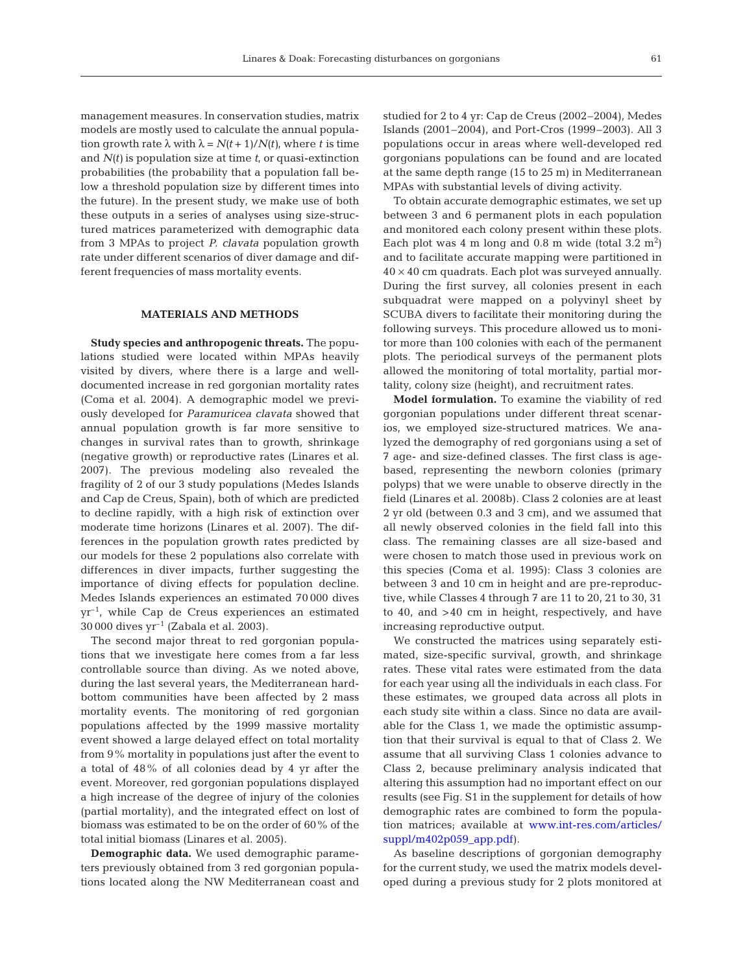management measures. In conservation studies, matrix models are mostly used to calculate the annual population growth rate  $\lambda$  with  $\lambda = N(t + 1)/N(t)$ , where *t* is time and *N(t)* is population size at time *t*, or quasi-extinction probabilities (the probability that a population fall below a threshold population size by different times into the future). In the present study, we make use of both these outputs in a series of analyses using size-structured matrices parameterized with demographic data from 3 MPAs to project *P. clavata* population growth rate under different scenarios of diver damage and different frequencies of mass mortality events.

#### **MATERIALS AND METHODS**

**Study species and anthropogenic threats.** The populations studied were located within MPAs heavily visited by divers, where there is a large and welldocumented increase in red gorgonian mortality rates (Coma et al. 2004). A demographic model we previously developed for *Paramuricea clavata* showed that annual population growth is far more sensitive to changes in survival rates than to growth, shrinkage (negative growth) or reproductive rates (Linares et al. 2007). The previous modeling also revealed the fragility of 2 of our 3 study populations (Medes Islands and Cap de Creus, Spain), both of which are predicted to decline rapidly, with a high risk of extinction over moderate time horizons (Linares et al. 2007). The differences in the population growth rates predicted by our models for these 2 populations also correlate with differences in diver impacts, further suggesting the importance of diving effects for population decline. Medes Islands experiences an estimated 70 000 dives  $yr^{-1}$ , while Cap de Creus experiences an estimated 30 000 dives  $yr^{-1}$  (Zabala et al. 2003).

The second major threat to red gorgonian populations that we investigate here comes from a far less controllable source than diving. As we noted above, during the last several years, the Mediterranean hardbottom communities have been affected by 2 mass mortality events. The monitoring of red gorgonian populations affected by the 1999 massive mortality event showed a large delayed effect on total mortality from 9% mortality in populations just after the event to a total of 48% of all colonies dead by 4 yr after the event. Moreover, red gorgonian populations displayed a high increase of the degree of injury of the colonies (partial mortality), and the integrated effect on lost of biomass was estimated to be on the order of 60% of the total initial biomass (Linares et al. 2005).

**Demographic data.** We used demographic parameters previously obtained from 3 red gorgonian populations located along the NW Mediterranean coast and studied for 2 to 4 yr: Cap de Creus (2002–2004), Medes Islands (2001–2004), and Port-Cros (1999–2003). All 3 populations occur in areas where well-developed red gorgonians populations can be found and are located at the same depth range (15 to 25 m) in Mediterranean MPAs with substantial levels of diving activity.

To obtain accurate demographic estimates, we set up between 3 and 6 permanent plots in each population and monitored each colony present within these plots. Each plot was  $4 \text{ m}$  long and  $0.8 \text{ m}$  wide (total  $3.2 \text{ m}^2$ ) and to facilitate accurate mapping were partitioned in  $40 \times 40$  cm quadrats. Each plot was surveyed annually. During the first survey, all colonies present in each subquadrat were mapped on a polyvinyl sheet by SCUBA divers to facilitate their monitoring during the following surveys. This procedure allowed us to monitor more than 100 colonies with each of the permanent plots. The periodical surveys of the permanent plots allowed the monitoring of total mortality, partial mortality, colony size (height), and recruitment rates.

**Model formulation.** To examine the viability of red gorgonian populations under different threat scenarios, we employed size-structured matrices. We analyzed the demography of red gorgonians using a set of 7 age- and size-defined classes. The first class is agebased, representing the newborn colonies (primary polyps) that we were unable to observe directly in the field (Linares et al. 2008b). Class 2 colonies are at least 2 yr old (between 0.3 and 3 cm), and we assumed that all newly observed colonies in the field fall into this class. The remaining classes are all size-based and were chosen to match those used in previous work on this species (Coma et al. 1995): Class 3 colonies are between 3 and 10 cm in height and are pre-reproductive, while Classes 4 through 7 are 11 to 20, 21 to 30, 31 to 40, and >40 cm in height, respectively, and have increasing reproductive output.

We constructed the matrices using separately estimated, size-specific survival, growth, and shrinkage rates. These vital rates were estimated from the data for each year using all the individuals in each class. For these estimates, we grouped data across all plots in each study site within a class. Since no data are available for the Class 1, we made the optimistic assumption that their survival is equal to that of Class 2. We assume that all surviving Class 1 colonies advance to Class 2, because preliminary analysis indicated that altering this assumption had no important effect on our results (see Fig. S1 in the supplement for details of how demographic rates are combined to form the population matrices; available at www.int-res.com/articles/ suppl/m402p059\_app.pdf).

As baseline descriptions of gorgonian demography for the current study, we used the matrix models developed during a previous study for 2 plots monitored at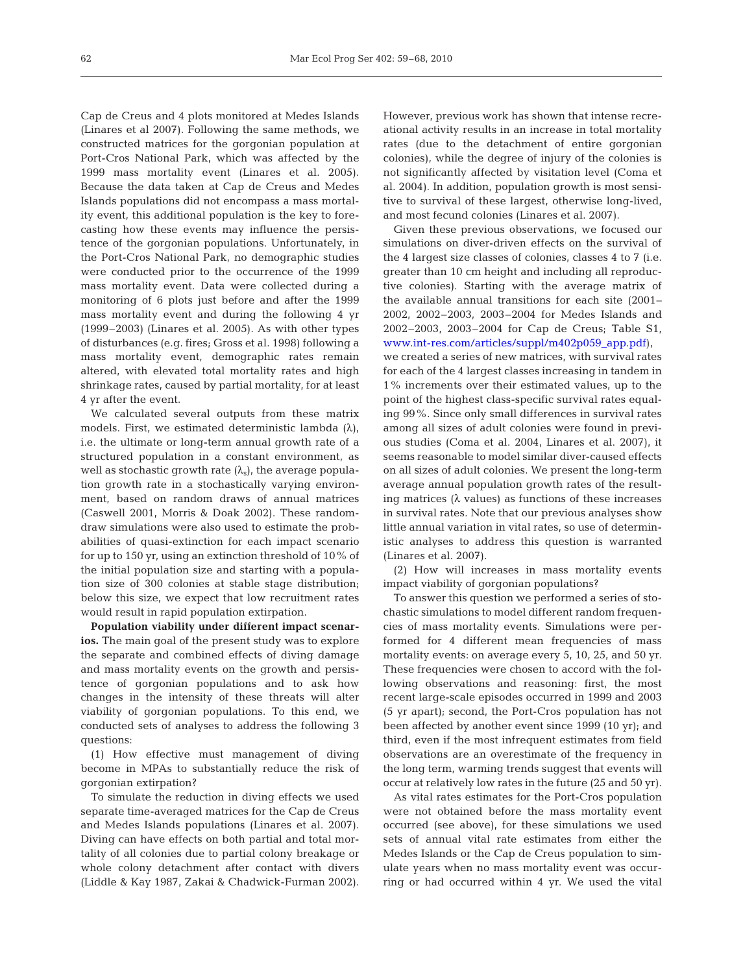Cap de Creus and 4 plots monitored at Medes Islands (Linares et al 2007). Following the same methods, we constructed matrices for the gorgonian population at Port-Cros National Park, which was affected by the 1999 mass mortality event (Linares et al. 2005). Because the data taken at Cap de Creus and Medes Islands populations did not encompass a mass mortality event, this additional population is the key to forecasting how these events may influence the persistence of the gorgonian populations. Unfortunately, in the Port-Cros National Park, no demographic studies were conducted prior to the occurrence of the 1999 mass mortality event. Data were collected during a monitoring of 6 plots just before and after the 1999 mass mortality event and during the following 4 yr (1999–2003) (Linares et al. 2005). As with other types of disturbances (e.g. fires; Gross et al. 1998) following a mass mortality event, demographic rates remain altered, with elevated total mortality rates and high shrinkage rates, caused by partial mortality, for at least 4 yr after the event.

We calculated several outputs from these matrix models. First, we estimated deterministic lambda  $(\lambda)$ , i.e. the ultimate or long-term annual growth rate of a structured population in a constant environment, as well as stochastic growth rate  $(\lambda_s)$ , the average population growth rate in a stochastically varying environment, based on random draws of annual matrices (Caswell 2001, Morris & Doak 2002). These randomdraw simulations were also used to estimate the probabilities of quasi-extinction for each impact scenario for up to 150 yr, using an extinction threshold of 10% of the initial population size and starting with a population size of 300 colonies at stable stage distribution; below this size, we expect that low recruitment rates would result in rapid population extirpation.

**Population viability under different impact scenarios.** The main goal of the present study was to explore the separate and combined effects of diving damage and mass mortality events on the growth and persistence of gorgonian populations and to ask how changes in the intensity of these threats will alter viability of gorgonian populations. To this end, we conducted sets of analyses to address the following 3 questions:

(1) How effective must management of diving become in MPAs to substantially reduce the risk of gorgonian extirpation?

To simulate the reduction in diving effects we used separate time-averaged matrices for the Cap de Creus and Medes Islands populations (Linares et al. 2007). Diving can have effects on both partial and total mortality of all colonies due to partial colony breakage or whole colony detachment after contact with divers (Liddle & Kay 1987, Zakai & Chadwick-Furman 2002). However, previous work has shown that intense recreational activity results in an increase in total mortality rates (due to the detachment of entire gorgonian colonies), while the degree of injury of the colonies is not significantly affected by visitation level (Coma et al. 2004). In addition, population growth is most sensitive to survival of these largest, otherwise long-lived, and most fecund colonies (Linares et al. 2007).

Given these previous observations, we focused our simulations on diver-driven effects on the survival of the 4 largest size classes of colonies, classes 4 to 7 (i.e. greater than 10 cm height and including all reproductive colonies). Starting with the average matrix of the available annual transitions for each site (2001– 2002, 2002–2003, 2003–2004 for Medes Islands and 2002–2003, 2003–2004 for Cap de Creus; Table S1, www.int-res.com/articles/suppl/m402p059\_app.pdf), we created a series of new matrices, with survival rates for each of the 4 largest classes increasing in tandem in 1% increments over their estimated values, up to the point of the highest class-specific survival rates equaling 99%. Since only small differences in survival rates among all sizes of adult colonies were found in previous studies (Coma et al. 2004, Linares et al. 2007), it seems reasonable to model similar diver-caused effects on all sizes of adult colonies. We present the long-term average annual population growth rates of the resulting matrices ( $\lambda$  values) as functions of these increases in survival rates. Note that our previous analyses show little annual variation in vital rates, so use of deterministic analyses to address this question is warranted (Linares et al. 2007).

(2) How will increases in mass mortality events impact viability of gorgonian populations?

To answer this question we performed a series of stochastic simulations to model different random frequencies of mass mortality events. Simulations were performed for 4 different mean frequencies of mass mortality events: on average every 5, 10, 25, and 50 yr. These frequencies were chosen to accord with the following observations and reasoning: first, the most recent large-scale episodes occurred in 1999 and 2003 (5 yr apart); second, the Port-Cros population has not been affected by another event since 1999 (10 yr); and third, even if the most infrequent estimates from field observations are an overestimate of the frequency in the long term, warming trends suggest that events will occur at relatively low rates in the future (25 and 50 yr).

As vital rates estimates for the Port-Cros population were not obtained before the mass mortality event occurred (see above), for these simulations we used sets of annual vital rate estimates from either the Medes Islands or the Cap de Creus population to simulate years when no mass mortality event was occurring or had occurred within 4 yr. We used the vital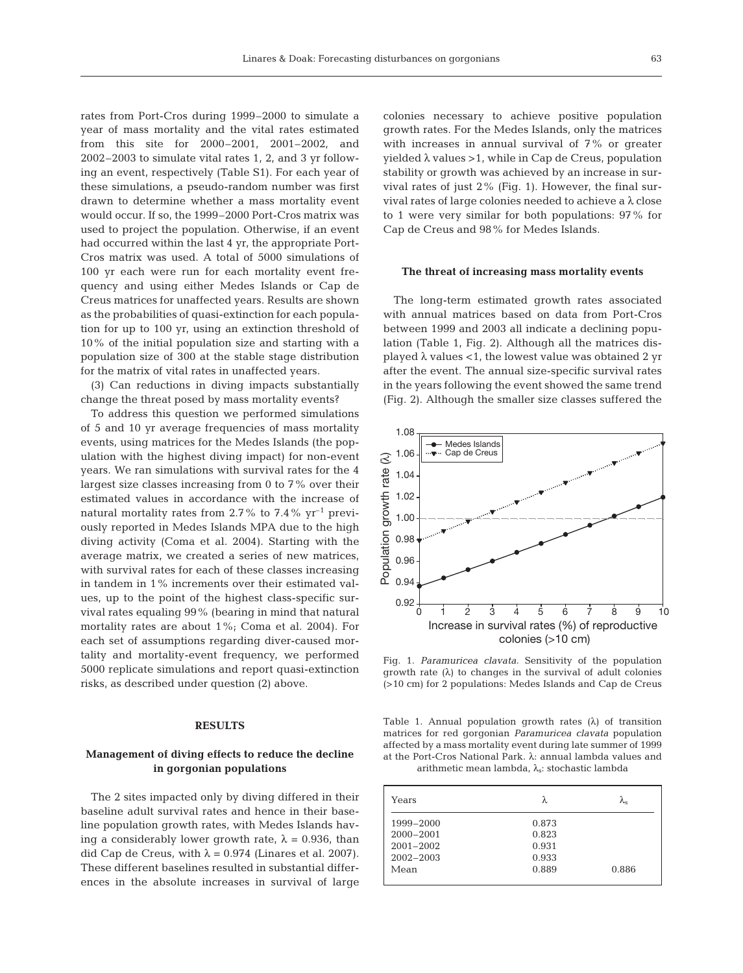rates from Port-Cros during 1999–2000 to simulate a year of mass mortality and the vital rates estimated from this site for 2000–2001, 2001–2002, and 2002–2003 to simulate vital rates 1, 2, and 3 yr following an event, respectively (Table S1). For each year of these simulations, a pseudo-random number was first drawn to determine whether a mass mortality event would occur. If so, the 1999–2000 Port-Cros matrix was used to project the population. Otherwise, if an event had occurred within the last 4 yr, the appropriate Port-Cros matrix was used. A total of 5000 simulations of 100 yr each were run for each mortality event frequency and using either Medes Islands or Cap de Creus matrices for unaffected years. Results are shown as the probabilities of quasi-extinction for each population for up to 100 yr, using an extinction threshold of 10% of the initial population size and starting with a population size of 300 at the stable stage distribution for the matrix of vital rates in unaffected years.

(3) Can reductions in diving impacts substantially change the threat posed by mass mortality events?

To address this question we performed simulations of 5 and 10 yr average frequencies of mass mortality events, using matrices for the Medes Islands (the population with the highest diving impact) for non-event years. We ran simulations with survival rates for the 4 largest size classes increasing from 0 to 7% over their estimated values in accordance with the increase of natural mortality rates from 2.7% to 7.4%  $yr^{-1}$  previously reported in Medes Islands MPA due to the high diving activity (Coma et al. 2004). Starting with the average matrix, we created a series of new matrices, with survival rates for each of these classes increasing in tandem in 1% increments over their estimated values, up to the point of the highest class-specific survival rates equaling 99% (bearing in mind that natural mortality rates are about 1%; Coma et al. 2004). For each set of assumptions regarding diver-caused mortality and mortality-event frequency, we performed 5000 replicate simulations and report quasi-extinction risks, as described under question (2) above.

# **RESULTS**

# **Management of diving effects to reduce the decline in gorgonian populations**

The 2 sites impacted only by diving differed in their baseline adult survival rates and hence in their baseline population growth rates, with Medes Islands having a considerably lower growth rate,  $\lambda = 0.936$ , than did Cap de Creus, with  $\lambda = 0.974$  (Linares et al. 2007). These different baselines resulted in substantial differences in the absolute increases in survival of large colonies necessary to achieve positive population growth rates. For the Medes Islands, only the matrices with increases in annual survival of 7% or greater yielded  $\lambda$  values > 1, while in Cap de Creus, population stability or growth was achieved by an increase in survival rates of just 2% (Fig. 1). However, the final survival rates of large colonies needed to achieve a λ close to 1 were very similar for both populations: 97% for Cap de Creus and 98% for Medes Islands.

#### **The threat of increasing mass mortality events**

The long-term estimated growth rates associated with annual matrices based on data from Port-Cros between 1999 and 2003 all indicate a declining population (Table 1, Fig. 2). Although all the matrices displayed  $\lambda$  values <1, the lowest value was obtained 2 yr after the event. The annual size-specific survival rates in the years following the event showed the same trend (Fig. 2). Although the smaller size classes suffered the



Fig. 1. *Paramuricea clavata.* Sensitivity of the population growth rate (λ) to changes in the survival of adult colonies (>10 cm) for 2 populations: Medes Islands and Cap de Creus

Table 1. Annual population growth rates  $(\lambda)$  of transition matrices for red gorgonian *Paramuricea clavata* population affected by a mass mortality event during late summer of 1999 at the Port-Cros National Park. λ: annual lambda values and arithmetic mean lambda,  $\lambda_s$ : stochastic lambda

| Years         | λ     | λ     |
|---------------|-------|-------|
| 1999-2000     | 0.873 |       |
| $2000 - 2001$ | 0.823 |       |
| $2001 - 2002$ | 0.931 |       |
| $2002 - 2003$ | 0.933 |       |
| Mean          | 0.889 | 0.886 |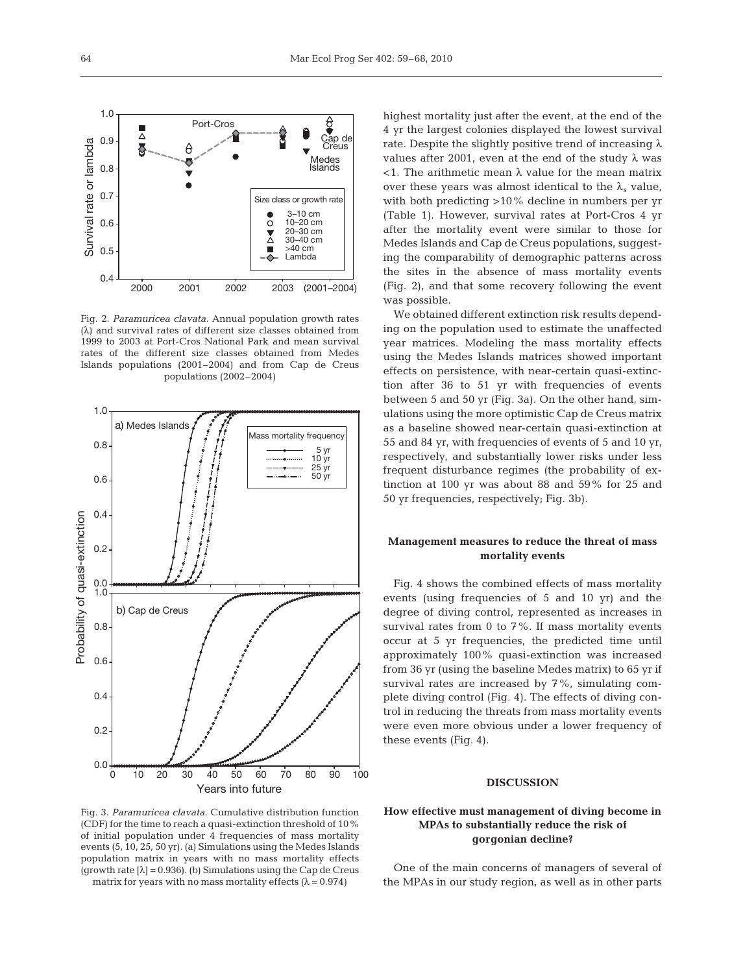3–10 cm 10–20 cm 20–30 cm 30–40 cm  $>40$  cm Lambda

Size class or growth rate

 $\overline{O}$  $\bar{\mathbf{X}}$ Г Ō

Medes Islands

(2001–2004)

Cap de Creus

Fig. 2. *Paramuricea clavata.* Annual population growth rates (λ) and survival rates of different size classes obtained from 1999 to 2003 at Port-Cros National Park and mean survival rates of the different size classes obtained from Medes Islands populations (2001–2004) and from Cap de Creus populations (2002–2004)

2000 2001 2002 2003

Port-Cros

ê 5



Fig. 3. *Paramuricea clavata.* Cumulative distribution function (CDF) for the time to reach a quasi-extinction threshold of 10% of initial population under 4 frequencies of mass mortality events (5, 10, 25, 50 yr). (a) Simulations using the Medes Islands population matrix in years with no mass mortality effects (growth rate  $[\lambda] = 0.936$ ). (b) Simulations using the Cap de Creus matrix for years with no mass mortality effects  $(\lambda = 0.974)$ 

highest mortality just after the event, at the end of the 4 yr the largest colonies displayed the lowest survival rate. Despite the slightly positive trend of increasing  $\lambda$ values after 2001, even at the end of the study  $\lambda$  was  $\langle$ 1. The arithmetic mean  $\lambda$  value for the mean matrix over these years was almost identical to the  $\lambda_s$  value, with both predicting >10% decline in numbers per yr (Table 1). However, survival rates at Port-Cros 4 yr after the mortality event were similar to those for Medes Islands and Cap de Creus populations, suggesting the comparability of demographic patterns across the sites in the absence of mass mortality events (Fig. 2), and that some recovery following the event was possible.

We obtained different extinction risk results depending on the population used to estimate the unaffected year matrices. Modeling the mass mortality effects using the Medes Islands matrices showed important effects on persistence, with near-certain quasi-extinction after 36 to 51 yr with frequencies of events between 5 and 50 yr (Fig. 3a). On the other hand, simulations using the more optimistic Cap de Creus matrix as a baseline showed near-certain quasi-extinction at 55 and 84 yr, with frequencies of events of 5 and 10 yr, respectively, and substantially lower risks under less frequent disturbance regimes (the probability of extinction at 100 yr was about 88 and 59% for 25 and 50 yr frequencies, respectively; Fig. 3b).

# **Management measures to reduce the threat of mass mortality events**

Fig. 4 shows the combined effects of mass mortality events (using frequencies of 5 and 10 yr) and the degree of diving control, represented as increases in survival rates from 0 to 7%. If mass mortality events occur at 5 yr frequencies, the predicted time until approximately 100% quasi-extinction was increased from 36 yr (using the baseline Medes matrix) to 65 yr if survival rates are increased by 7%, simulating complete diving control (Fig. 4). The effects of diving control in reducing the threats from mass mortality events were even more obvious under a lower frequency of these events (Fig. 4).

# **DISCUSSION**

# **How effective must management of diving become in MPAs to substantially reduce the risk of gorgonian decline?**

One of the main concerns of managers of several of the MPAs in our study region, as well as in other parts

Survival rate or lambda

Survival rate or lambda

0.4

0.5

0.6

0.7

0.8

0.9

员

Š

1.0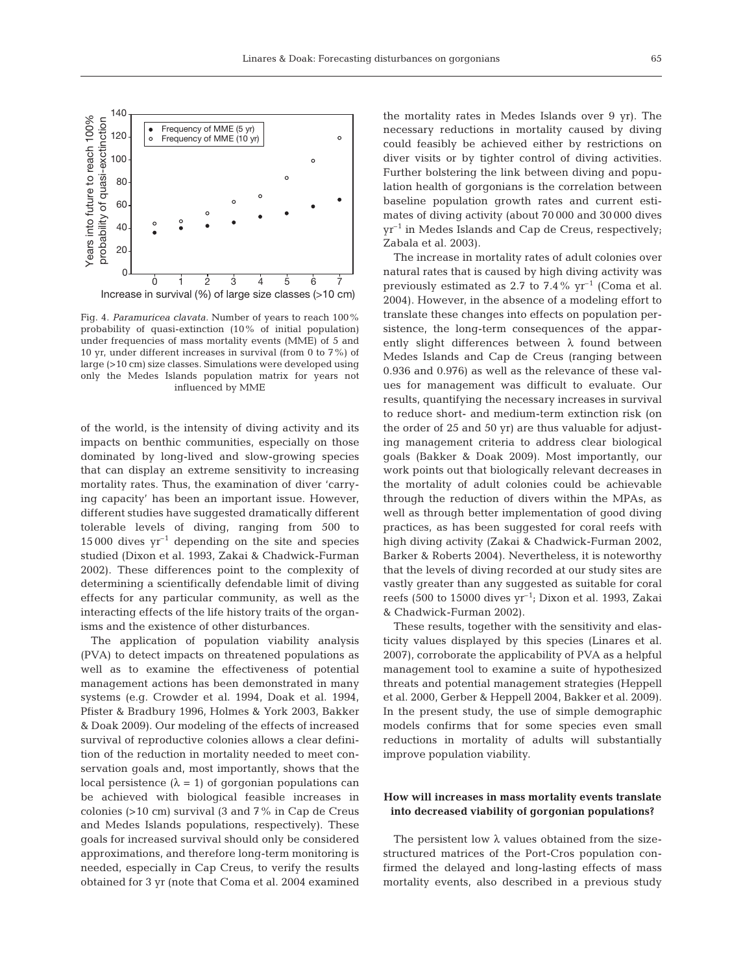

Fig. 4. *Paramuricea clavata.* Number of years to reach 100% probability of quasi-extinction (10% of initial population) under frequencies of mass mortality events (MME) of 5 and 10 yr, under different increases in survival (from 0 to 7%) of large (>10 cm) size classes. Simulations were developed using only the Medes Islands population matrix for years not influenced by MME

of the world, is the intensity of diving activity and its impacts on benthic communities, especially on those dominated by long-lived and slow-growing species that can display an extreme sensitivity to increasing mortality rates. Thus, the examination of diver 'carrying capacity' has been an important issue. However, different studies have suggested dramatically different tolerable levels of diving, ranging from 500 to  $15\,000$  dives  $yr^{-1}$  depending on the site and species studied (Dixon et al. 1993, Zakai & Chadwick-Furman 2002). These differences point to the complexity of determining a scientifically defendable limit of diving effects for any particular community, as well as the interacting effects of the life history traits of the organisms and the existence of other disturbances.

The application of population viability analysis (PVA) to detect impacts on threatened populations as well as to examine the effectiveness of potential management actions has been demonstrated in many systems (e.g. Crowder et al. 1994, Doak et al. 1994, Pfister & Bradbury 1996, Holmes & York 2003, Bakker & Doak 2009). Our modeling of the effects of increased survival of reproductive colonies allows a clear definition of the reduction in mortality needed to meet conservation goals and, most importantly, shows that the local persistence ( $λ = 1$ ) of gorgonian populations can be achieved with biological feasible increases in colonies (>10 cm) survival (3 and 7% in Cap de Creus and Medes Islands populations, respectively). These goals for increased survival should only be considered approximations, and therefore long-term monitoring is needed, especially in Cap Creus, to verify the results obtained for 3 yr (note that Coma et al. 2004 examined

the mortality rates in Medes Islands over 9 yr). The necessary reductions in mortality caused by diving could feasibly be achieved either by restrictions on diver visits or by tighter control of diving activities. Further bolstering the link between diving and population health of gorgonians is the correlation between baseline population growth rates and current estimates of diving activity (about 70 000 and 30 000 dives  $yr^{-1}$  in Medes Islands and Cap de Creus, respectively; Zabala et al. 2003).

The increase in mortality rates of adult colonies over natural rates that is caused by high diving activity was previously estimated as 2.7 to 7.4%  $yr^{-1}$  (Coma et al. 2004). However, in the absence of a modeling effort to translate these changes into effects on population persistence, the long-term consequences of the apparently slight differences between  $\lambda$  found between Medes Islands and Cap de Creus (ranging between 0.936 and 0.976) as well as the relevance of these values for management was difficult to evaluate. Our results, quantifying the necessary increases in survival to reduce short- and medium-term extinction risk (on the order of 25 and 50 yr) are thus valuable for adjusting management criteria to address clear biological goals (Bakker & Doak 2009). Most importantly, our work points out that biologically relevant decreases in the mortality of adult colonies could be achievable through the reduction of divers within the MPAs, as well as through better implementation of good diving practices, as has been suggested for coral reefs with high diving activity (Zakai & Chadwick-Furman 2002, Barker & Roberts 2004). Nevertheless, it is noteworthy that the levels of diving recorded at our study sites are vastly greater than any suggested as suitable for coral reefs (500 to 15000 dives  $yr^{-1}$ ; Dixon et al. 1993, Zakai & Chadwick-Furman 2002).

These results, together with the sensitivity and elasticity values displayed by this species (Linares et al. 2007), corroborate the applicability of PVA as a helpful management tool to examine a suite of hypothesized threats and potential management strategies (Heppell et al. 2000, Gerber & Heppell 2004, Bakker et al. 2009). In the present study, the use of simple demographic models confirms that for some species even small reductions in mortality of adults will substantially improve population viability.

## **How will increases in mass mortality events translate into decreased viability of gorgonian populations?**

The persistent low  $\lambda$  values obtained from the sizestructured matrices of the Port-Cros population confirmed the delayed and long-lasting effects of mass mortality events, also described in a previous study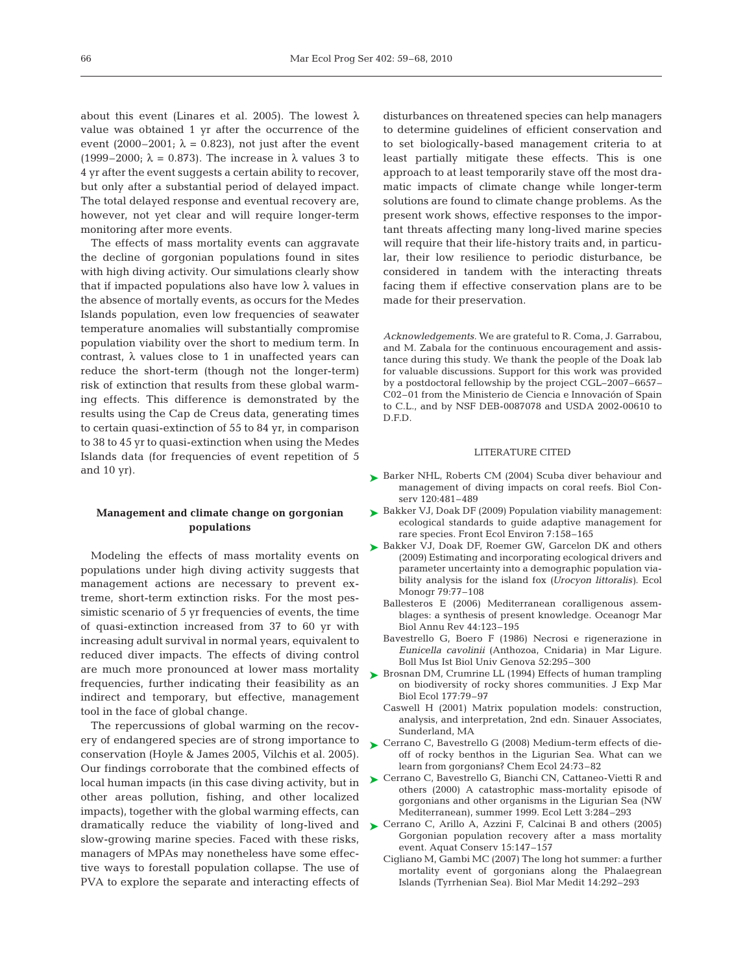about this event (Linares et al. 2005). The lowest  $\lambda$ value was obtained 1 yr after the occurrence of the event (2000–2001;  $\lambda = 0.823$ ), not just after the event (1999–2000;  $\lambda = 0.873$ ). The increase in  $\lambda$  values 3 to 4 yr after the event suggests a certain ability to recover, but only after a substantial period of delayed impact. The total delayed response and eventual recovery are, however, not yet clear and will require longer-term monitoring after more events.

The effects of mass mortality events can aggravate the decline of gorgonian populations found in sites with high diving activity. Our simulations clearly show that if impacted populations also have low  $\lambda$  values in the absence of mortally events, as occurs for the Medes Islands population, even low frequencies of seawater temperature anomalies will substantially compromise population viability over the short to medium term. In contrast,  $\lambda$  values close to 1 in unaffected years can reduce the short-term (though not the longer-term) risk of extinction that results from these global warming effects. This difference is demonstrated by the results using the Cap de Creus data, generating times to certain quasi-extinction of 55 to 84 yr, in comparison to 38 to 45 yr to quasi-extinction when using the Medes Islands data (for frequencies of event repetition of 5 and 10 yr).

## **Management and climate change on gorgonian populations**

Modeling the effects of mass mortality events on populations under high diving activity suggests that management actions are necessary to prevent extreme, short-term extinction risks. For the most pessimistic scenario of 5 yr frequencies of events, the time of quasi-extinction increased from 37 to 60 yr with increasing adult survival in normal years, equivalent to reduced diver impacts. The effects of diving control are much more pronounced at lower mass mortality frequencies, further indicating their feasibility as an indirect and temporary, but effective, management tool in the face of global change.

The repercussions of global warming on the recovery of endangered species are of strong importance to conservation (Hoyle & James 2005, Vilchis et al. 2005). Our findings corroborate that the combined effects of local human impacts (in this case diving activity, but in other areas pollution, fishing, and other localized impacts), together with the global warming effects, can slow-growing marine species. Faced with these risks, managers of MPAs may nonetheless have some effective ways to forestall population collapse. The use of PVA to explore the separate and interacting effects of

disturbances on threatened species can help managers to determine guidelines of efficient conservation and to set biologically-based management criteria to at least partially mitigate these effects. This is one approach to at least temporarily stave off the most dramatic impacts of climate change while longer-term solutions are found to climate change problems. As the present work shows, effective responses to the important threats affecting many long-lived marine species will require that their life-history traits and, in particular, their low resilience to periodic disturbance, be considered in tandem with the interacting threats facing them if effective conservation plans are to be made for their preservation.

*Acknowledgements.* We are grateful to R. Coma, J. Garrabou, and M. Zabala for the continuous encouragement and assistance during this study. We thank the people of the Doak lab for valuable discussions. Support for this work was provided by a postdoctoral fellowship by the project CGL–2007–6657– C02–01 from the Ministerio de Ciencia e Innovación of Spain to C.L., and by NSF DEB-0087078 and USDA 2002-00610 to D.F.D.

#### LITERATURE CITED

- ► Barker NHL, Roberts CM (2004) Scuba diver behaviour and management of diving impacts on coral reefs. Biol Conserv 120:481–489
- ► Bakker VJ, Doak DF (2009) Population viability management: ecological standards to guide adaptive management for rare species. Front Ecol Environ 7:158–165
- ► Bakker VJ, Doak DF, Roemer GW, Garcelon DK and others (2009) Estimating and incorporating ecological drivers and parameter uncertainty into a demographic population viability analysis for the island fox *(Urocyon littoralis)*. Ecol Monogr 79:77–108
	- Ballesteros E (2006) Mediterranean coralligenous assemblages: a synthesis of present knowledge. Oceanogr Mar Biol Annu Rev 44:123–195
	- Bavestrello G, Boero F (1986) Necrosi e rigenerazione in *Eunicella cavolinii* (Anthozoa, Cnidaria) in Mar Ligure. Boll Mus Ist Biol Univ Genova 52:295–300
- ► Brosnan DM, Crumrine LL (1994) Effects of human trampling on biodiversity of rocky shores communities. J Exp Mar Biol Ecol 177:79–97
	- Caswell H (2001) Matrix population models: construction, analysis, and interpretation, 2nd edn. Sinauer Associates, Sunderland, MA
- ► Cerrano C, Bavestrello G (2008) Medium-term effects of dieoff of rocky benthos in the Ligurian Sea. What can we learn from gorgonians? Chem Ecol 24:73–82
- ► Cerrano C, Bavestrello G, Bianchi CN, Cattaneo-Vietti R and others (2000) A catastrophic mass-mortality episode of gorgonians and other organisms in the Ligurian Sea (NW Mediterranean), summer 1999. Ecol Lett 3:284–293
- dramatically reduce the viability of long-lived and  $\blacktriangleright$  Cerrano C, Arillo A, Azzini F, Calcinai B and others (2005) Gorgonian population recovery after a mass mortality event. Aquat Conserv 15:147–157
	- Cigliano M, Gambi MC (2007) The long hot summer: a further mortality event of gorgonians along the Phalaegrean Islands (Tyrrhenian Sea). Biol Mar Medit 14:292–293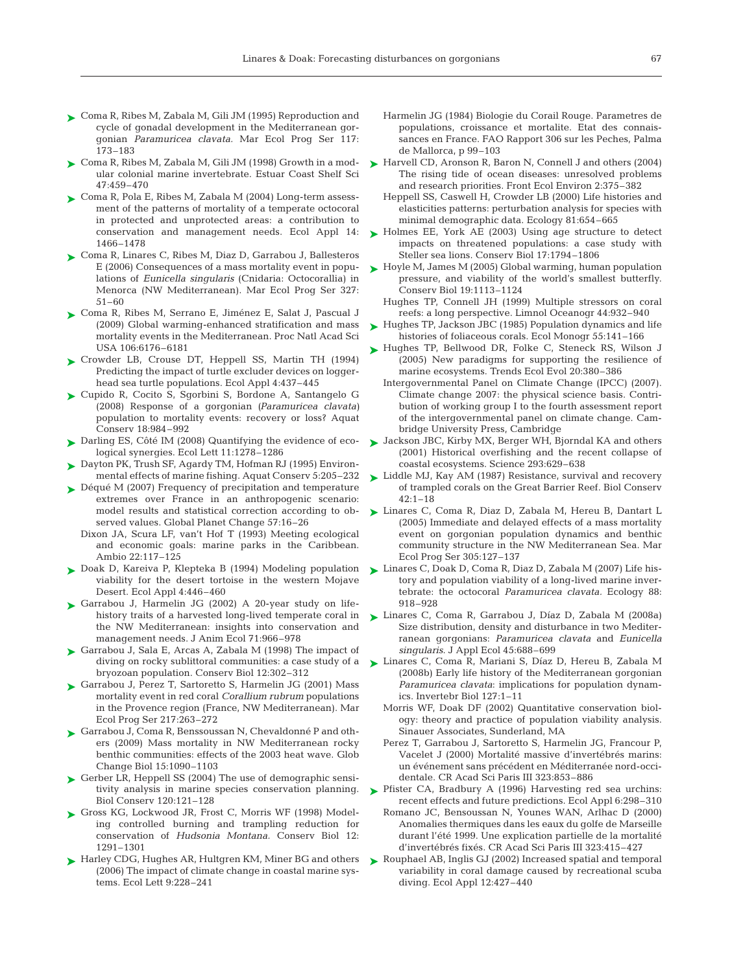- Coma R, Ribes M, Zabala M, Gili JM (1995) Reproduction and ➤ cycle of gonadal development in the Mediterranean gorgonian *Paramuricea clavata.* Mar Ecol Prog Ser 117: 173–183
- Coma R, Ribes M, Zabala M, Gili JM (1998) Growth in a mod-➤ ular colonial marine invertebrate. Estuar Coast Shelf Sci 47:459–470
- Coma R, Pola E, Ribes M, Zabala M (2004) Long-term assess-➤ ment of the patterns of mortality of a temperate octocoral in protected and unprotected areas: a contribution to conservation and management needs. Ecol Appl 14: 1466–1478
- ► Coma R, Linares C, Ribes M, Diaz D, Garrabou J, Ballesteros E (2006) Consequences of a mass mortality event in populations of *Eunicella singularis* (Cnidaria: Octocorallia) in Menorca (NW Mediterranean). Mar Ecol Prog Ser 327: 51–60
- ► Coma R, Ribes M, Serrano E, Jiménez E, Salat J, Pascual J (2009) Global warming-enhanced stratification and mass mortality events in the Mediterranean. Proc Natl Acad Sci USA 106:6176–6181
- ► Crowder LB, Crouse DT, Heppell SS, Martin TH (1994) Predicting the impact of turtle excluder devices on loggerhead sea turtle populations. Ecol Appl 4:437–445
- ► Cupido R, Cocito S, Sgorbini S, Bordone A, Santangelo G (2008) Response of a gorgonian *(Paramuricea clavata)* population to mortality events: recovery or loss? Aquat Conserv 18:984–992
- ▶ Darling ES, Côté IM (2008) Quantifying the evidence of ecological synergies. Ecol Lett 11:1278–1286
- Dayton PK, Trush SF, Agardy TM, Hofman RJ (1995) Environ-➤ mental effects of marine fishing. Aquat Conserv 5:205–232
- ► Déqué M (2007) Frequency of precipitation and temperature extremes over France in an anthropogenic scenario: model results and statistical correction according to observed values. Global Planet Change 57:16–26
	- Dixon JA, Scura LF, van't Hof T (1993) Meeting ecological and economic goals: marine parks in the Caribbean. Ambio 22:117–125
- ► Doak D, Kareiva P, Klepteka B (1994) Modeling population viability for the desert tortoise in the western Mojave Desert. Ecol Appl 4:446–460
- ► Garrabou J, Harmelin JG (2002) A 20-year study on lifehistory traits of a harvested long-lived temperate coral in the NW Mediterranean: insights into conservation and management needs. J Anim Ecol 71:966–978
- ► Garrabou J, Sala E, Arcas A, Zabala M (1998) The impact of diving on rocky sublittoral communities: a case study of a bryozoan population. Conserv Biol 12:302–312
- ► Garrabou J, Perez T, Sartoretto S, Harmelin JG (2001) Mass mortality event in red coral *Corallium rubrum* populations in the Provence region (France, NW Mediterranean). Mar Ecol Prog Ser 217:263–272
- ► Garrabou J, Coma R, Benssoussan N, Chevaldonné P and others (2009) Mass mortality in NW Mediterranean rocky benthic communities: effects of the 2003 heat wave. Glob Change Biol 15:1090–1103
- ► Gerber LR, Heppell SS (2004) The use of demographic sensitivity analysis in marine species conservation planning. Biol Conserv 120:121–128
- ► Gross KG, Lockwood JR, Frost C, Morris WF (1998) Modeling controlled burning and trampling reduction for conservation of *Hudsonia Montana.* Conserv Biol 12: 1291–1301
- ► Harley CDG, Hughes AR, Hultgren KM, Miner BG and others (2006) The impact of climate change in coastal marine systems. Ecol Lett 9:228–241
- Harmelin JG (1984) Biologie du Corail Rouge. Parametres de populations, croissance et mortalite. Etat des connaissances en France. FAO Rapport 306 sur les Peches, Palma de Mallorca, p 99–103
- ► Harvell CD, Aronson R, Baron N, Connell J and others (2004) The rising tide of ocean diseases: unresolved problems and research priorities. Front Ecol Environ 2:375–382
	- Heppell SS, Caswell H, Crowder LB (2000) Life histories and elasticities patterns: perturbation analysis for species with minimal demographic data. Ecology 81:654–665
- ► Holmes EE, York AE (2003) Using age structure to detect impacts on threatened populations: a case study with Steller sea lions. Conserv Biol 17:1794–1806
- ► Hoyle M, James M (2005) Global warming, human population pressure, and viability of the world's smallest butterfly. Conserv Biol 19:1113–1124
	- Hughes TP, Connell JH (1999) Multiple stressors on coral reefs: a long perspective. Limnol Oceanogr 44:932–940
- ► Hughes TP, Jackson JBC (1985) Population dynamics and life histories of foliaceous corals. Ecol Monogr 55:141–166
- ► Hughes TP, Bellwood DR, Folke C, Steneck RS, Wilson (2005) New paradigms for supporting the resilience of marine ecosystems. Trends Ecol Evol 20:380–386
	- Intergovernmental Panel on Climate Change (IPCC) (2007). Climate change 2007: the physical science basis. Contribution of working group I to the fourth assessment report of the intergovernmental panel on climate change. Cambridge University Press, Cambridge
- ► Jackson JBC, Kirby MX, Berger WH, Bjorndal KA and others (2001) Historical overfishing and the recent collapse of coastal ecosystems. Science 293:629–638
- ► Liddle MJ, Kay AM (1987) Resistance, survival and recovery of trampled corals on the Great Barrier Reef. Biol Conserv  $42:1 - 18$
- ► Linares C, Coma R, Diaz D, Zabala M, Hereu B, Dantart L (2005) Immediate and delayed effects of a mass mortality event on gorgonian population dynamics and benthic community structure in the NW Mediterranean Sea. Mar Ecol Prog Ser 305:127–137
- Linares C, Doak D, Coma R, Diaz D, Zabala M (2007) Life his-➤ tory and population viability of a long-lived marine invertebrate: the octocoral *Paramuricea clavata.* Ecology 88: 918–928
- Linares C, Coma R, Garrabou J, Díaz D, Zabala M (2008a) ➤ Size distribution, density and disturbance in two Mediterranean gorgonians: *Paramuricea clavata* and *Eunicella singularis*. J Appl Ecol 45:688–699
- Linares C, Coma R, Mariani S, Díaz D, Hereu B, Zabala M ➤ (2008b) Early life history of the Mediterranean gorgonian *Paramuricea clavata*: implications for population dynamics. Invertebr Biol 127:1–11
	- Morris WF, Doak DF (2002) Quantitative conservation biology: theory and practice of population viability analysis. Sinauer Associates, Sunderland, MA
	- Perez T, Garrabou J, Sartoretto S, Harmelin JG, Francour P, Vacelet J (2000) Mortalité massive d'invertébrés marins: un événement sans précédent en Méditerranée nord-occidentale. CR Acad Sci Paris III 323:853–886
- ▶ Pfister CA, Bradbury A (1996) Harvesting red sea urchins: recent effects and future predictions. Ecol Appl 6:298–310
	- Romano JC, Bensoussan N, Younes WAN, Arlhac D (2000) Anomalies thermiques dans les eaux du golfe de Marseille durant l'été 1999. Une explication partielle de la mortalité d'invertébrés fixés. CR Acad Sci Paris III 323:415–427
- ► Rouphael AB, Inglis GJ (2002) Increased spatial and temporal variability in coral damage caused by recreational scuba diving. Ecol Appl 12:427–440